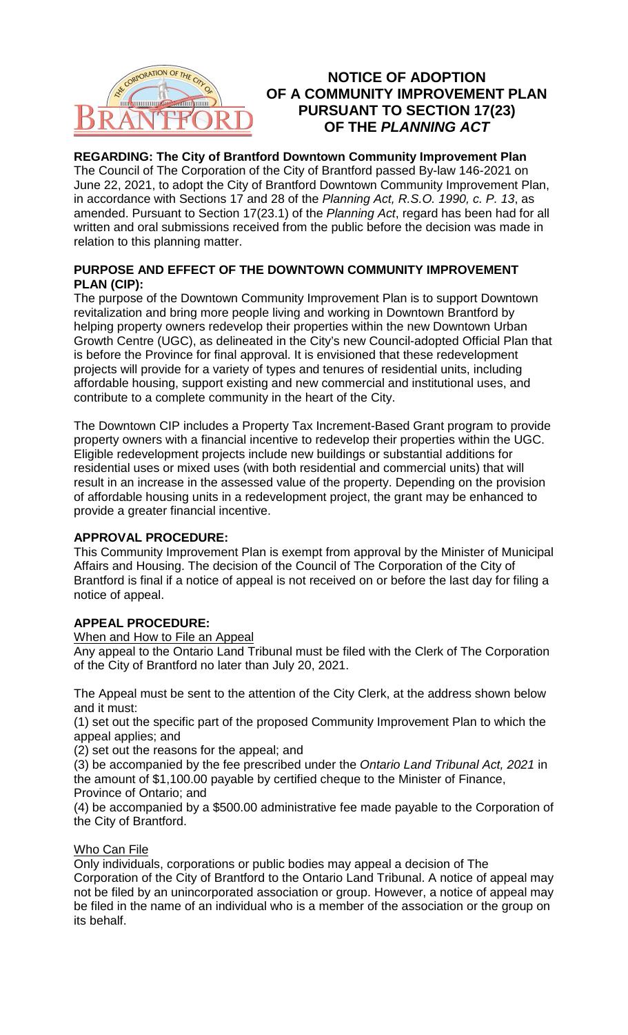

# **NOTICE OF ADOPTION OF A COMMUNITY IMPROVEMENT PLAN PURSUANT TO SECTION 17(23) OF THE** *PLANNING ACT*

### **REGARDING: The City of Brantford Downtown Community Improvement Plan**

The Council of The Corporation of the City of Brantford passed By-law 146-2021 on June 22, 2021, to adopt the City of Brantford Downtown Community Improvement Plan, in accordance with Sections 17 and 28 of the *Planning Act, R.S.O. 1990, c. P. 13*, as amended. Pursuant to Section 17(23.1) of the *Planning Act*, regard has been had for all written and oral submissions received from the public before the decision was made in relation to this planning matter.

### **PURPOSE AND EFFECT OF THE DOWNTOWN COMMUNITY IMPROVEMENT PLAN (CIP):**

The purpose of the Downtown Community Improvement Plan is to support Downtown revitalization and bring more people living and working in Downtown Brantford by helping property owners redevelop their properties within the new Downtown Urban Growth Centre (UGC), as delineated in the City's new Council-adopted Official Plan that is before the Province for final approval. It is envisioned that these redevelopment projects will provide for a variety of types and tenures of residential units, including affordable housing, support existing and new commercial and institutional uses, and contribute to a complete community in the heart of the City.

The Downtown CIP includes a Property Tax Increment-Based Grant program to provide property owners with a financial incentive to redevelop their properties within the UGC. Eligible redevelopment projects include new buildings or substantial additions for residential uses or mixed uses (with both residential and commercial units) that will result in an increase in the assessed value of the property. Depending on the provision of affordable housing units in a redevelopment project, the grant may be enhanced to provide a greater financial incentive.

### **APPROVAL PROCEDURE:**

This Community Improvement Plan is exempt from approval by the Minister of Municipal Affairs and Housing. The decision of the Council of The Corporation of the City of Brantford is final if a notice of appeal is not received on or before the last day for filing a notice of appeal.

## **APPEAL PROCEDURE:**

### When and How to File an Appeal

Any appeal to the Ontario Land Tribunal must be filed with the Clerk of The Corporation of the City of Brantford no later than July 20, 2021.

The Appeal must be sent to the attention of the City Clerk, at the address shown below and it must:

(1) set out the specific part of the proposed Community Improvement Plan to which the appeal applies; and

(2) set out the reasons for the appeal; and

(3) be accompanied by the fee prescribed under the *Ontario Land Tribunal Act, 2021* in the amount of \$1,100.00 payable by certified cheque to the Minister of Finance, Province of Ontario; and

(4) be accompanied by a \$500.00 administrative fee made payable to the Corporation of the City of Brantford.

### Who Can File

Only individuals, corporations or public bodies may appeal a decision of The Corporation of the City of Brantford to the Ontario Land Tribunal. A notice of appeal may not be filed by an unincorporated association or group. However, a notice of appeal may be filed in the name of an individual who is a member of the association or the group on its behalf.